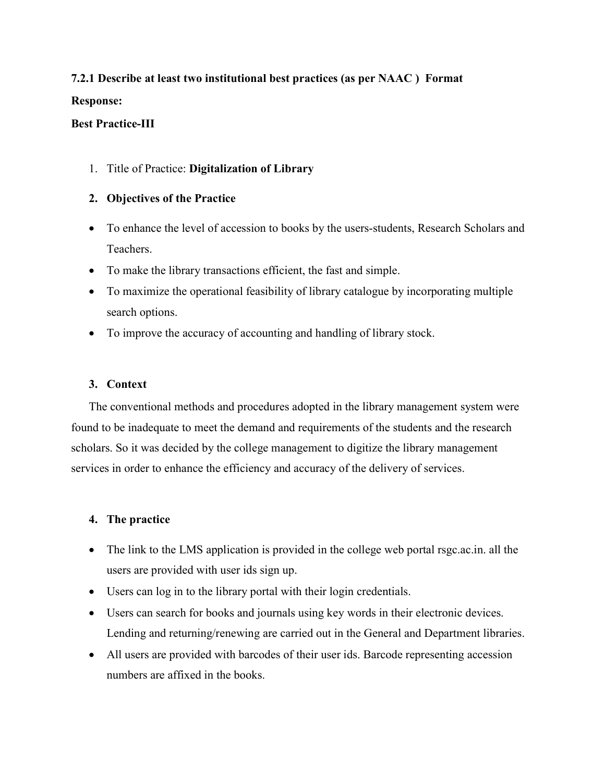# 7.2.1 Describe at least two institutional best practices (as per NAAC ) Format

#### Response:

#### Best Practice-III

1. Title of Practice: Digitalization of Library

### 2. Objectives of the Practice

- To enhance the level of accession to books by the users-students, Research Scholars and Teachers.
- To make the library transactions efficient, the fast and simple.
- To maximize the operational feasibility of library catalogue by incorporating multiple search options.
- To improve the accuracy of accounting and handling of library stock.

#### 3. Context

The conventional methods and procedures adopted in the library management system were found to be inadequate to meet the demand and requirements of the students and the research scholars. So it was decided by the college management to digitize the library management services in order to enhance the efficiency and accuracy of the delivery of services.

#### 4. The practice

- The link to the LMS application is provided in the college web portal rsgc.ac.in. all the users are provided with user ids sign up.
- Users can log in to the library portal with their login credentials.
- Users can search for books and journals using key words in their electronic devices. Lending and returning/renewing are carried out in the General and Department libraries.
- All users are provided with barcodes of their user ids. Barcode representing accession numbers are affixed in the books.